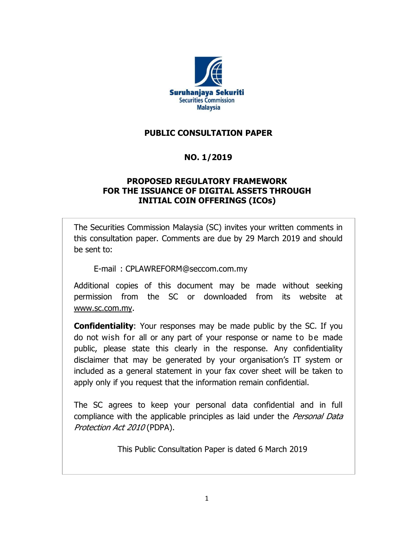

## **PUBLIC CONSULTATION PAPER**

## **NO. 1/2019**

### **PROPOSED REGULATORY FRAMEWORK FOR THE ISSUANCE OF DIGITAL ASSETS THROUGH INITIAL COIN OFFERINGS (ICOs)**

The Securities Commission Malaysia (SC) invites your written comments in this consultation paper. Comments are due by 29 March 2019 and should be sent to:

E-mail : CPLAWREFORM@seccom.com.my

Additional copies of this document may be made without seeking permission from the SC or downloaded from its website at [www.sc.com.my.](http://www.sc.com.my/)

**Confidentiality**: Your responses may be made public by the SC. If you do not wish for all or any part of your response or name to be made public, please state this clearly in the response. Any confidentiality disclaimer that may be generated by your organisation's IT system or included as a general statement in your fax cover sheet will be taken to apply only if you request that the information remain confidential.

The SC agrees to keep your personal data confidential and in full compliance with the applicable principles as laid under the *Personal Data* Protection Act 2010 (PDPA).

This Public Consultation Paper is dated 6 March 2019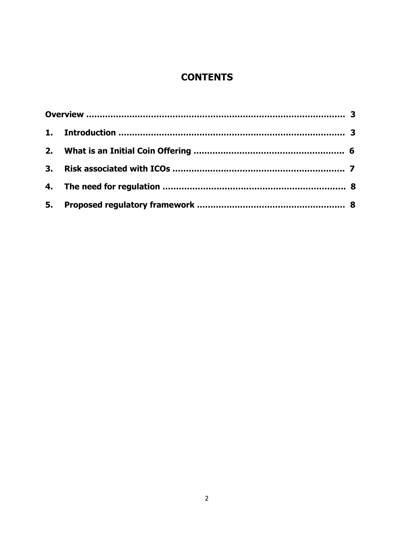# **CONTENTS**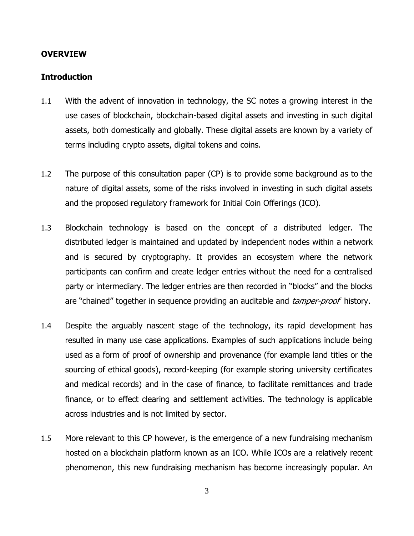#### **OVERVIEW**

#### **Introduction**

- 1.1 With the advent of innovation in technology, the SC notes a growing interest in the use cases of blockchain, blockchain-based digital assets and investing in such digital assets, both domestically and globally. These digital assets are known by a variety of terms including crypto assets, digital tokens and coins.
- 1.2 The purpose of this consultation paper (CP) is to provide some background as to the nature of digital assets, some of the risks involved in investing in such digital assets and the proposed regulatory framework for Initial Coin Offerings (ICO).
- 1.3 Blockchain technology is based on the concept of a distributed ledger. The distributed ledger is maintained and updated by independent nodes within a network and is secured by cryptography. It provides an ecosystem where the network participants can confirm and create ledger entries without the need for a centralised party or intermediary. The ledger entries are then recorded in "blocks" and the blocks are "chained" together in sequence providing an auditable and *tamper-proof* history.
- 1.4 Despite the arguably nascent stage of the technology, its rapid development has resulted in many use case applications. Examples of such applications include being used as a form of proof of ownership and provenance (for example land titles or the sourcing of ethical goods), record-keeping (for example storing university certificates and medical records) and in the case of finance, to facilitate remittances and trade finance, or to effect clearing and settlement activities. The technology is applicable across industries and is not limited by sector.
- 1.5 More relevant to this CP however, is the emergence of a new fundraising mechanism hosted on a blockchain platform known as an ICO. While ICOs are a relatively recent phenomenon, this new fundraising mechanism has become increasingly popular. An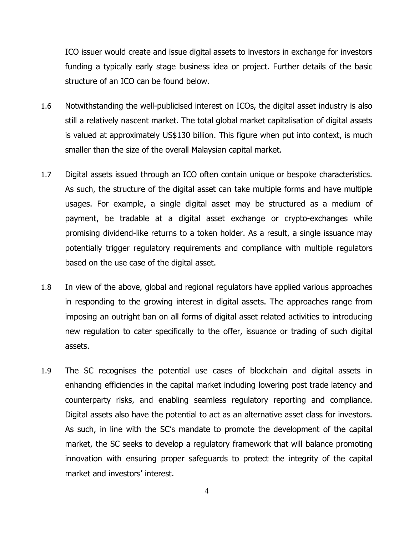ICO issuer would create and issue digital assets to investors in exchange for investors funding a typically early stage business idea or project. Further details of the basic structure of an ICO can be found below.

- 1.6 Notwithstanding the well-publicised interest on ICOs, the digital asset industry is also still a relatively nascent market. The total global market capitalisation of digital assets is valued at approximately US\$130 billion. This figure when put into context, is much smaller than the size of the overall Malaysian capital market.
- 1.7 Digital assets issued through an ICO often contain unique or bespoke characteristics. As such, the structure of the digital asset can take multiple forms and have multiple usages. For example, a single digital asset may be structured as a medium of payment, be tradable at a digital asset exchange or crypto-exchanges while promising dividend-like returns to a token holder. As a result, a single issuance may potentially trigger regulatory requirements and compliance with multiple regulators based on the use case of the digital asset.
- 1.8 In view of the above, global and regional regulators have applied various approaches in responding to the growing interest in digital assets. The approaches range from imposing an outright ban on all forms of digital asset related activities to introducing new regulation to cater specifically to the offer, issuance or trading of such digital assets.
- 1.9 The SC recognises the potential use cases of blockchain and digital assets in enhancing efficiencies in the capital market including lowering post trade latency and counterparty risks, and enabling seamless regulatory reporting and compliance. Digital assets also have the potential to act as an alternative asset class for investors. As such, in line with the SC's mandate to promote the development of the capital market, the SC seeks to develop a regulatory framework that will balance promoting innovation with ensuring proper safeguards to protect the integrity of the capital market and investors' interest.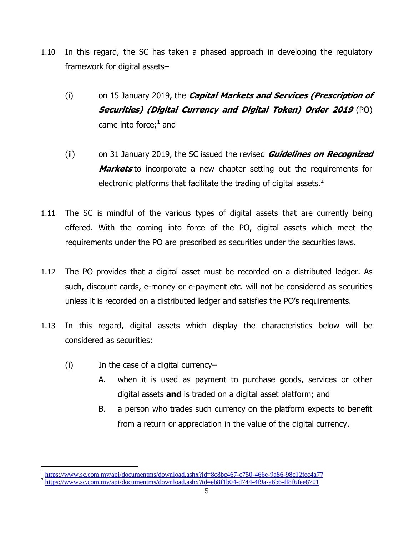- 1.10 In this regard, the SC has taken a phased approach in developing the regulatory framework for digital assets–
	- (i) on 15 January 2019, the **Capital Markets and Services (Prescription of Securities) (Digital Currency and Digital Token) Order 2019** (PO) came into force; $<sup>1</sup>$  and</sup>
	- (ii) on 31 January 2019, the SC issued the revised **Guidelines on Recognized Markets** to incorporate a new chapter setting out the requirements for electronic platforms that facilitate the trading of digital assets. $2$
- 1.11 The SC is mindful of the various types of digital assets that are currently being offered. With the coming into force of the PO, digital assets which meet the requirements under the PO are prescribed as securities under the securities laws.
- 1.12 The PO provides that a digital asset must be recorded on a distributed ledger. As such, discount cards, e-money or e-payment etc. will not be considered as securities unless it is recorded on a distributed ledger and satisfies the PO's requirements.
- 1.13 In this regard, digital assets which display the characteristics below will be considered as securities:
	- (i) In the case of a digital currency–
		- A. when it is used as payment to purchase goods, services or other digital assets **and** is traded on a digital asset platform; and
		- B. a person who trades such currency on the platform expects to benefit from a return or appreciation in the value of the digital currency.

 $\frac{1}{2}$  https://www.sc.com.my/api/documentms/download.ashx?id=8c8bc467-c750-466e-9a86-98c12fec4a77<br> $\frac{1}{2}$  https://www.sc.com.my/api/documentms/download.ashx?id=eb8f1b04-d744-4f9a-a6b6-ff8f6fee8701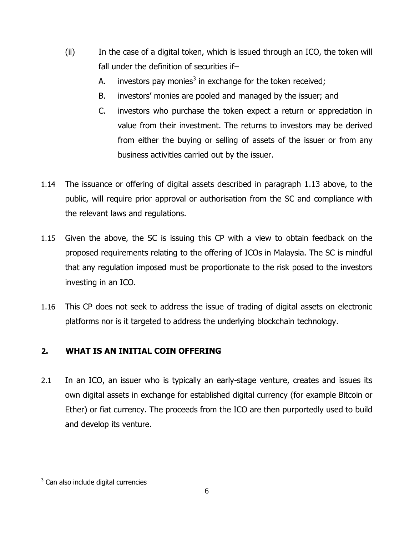- (ii) In the case of a digital token, which is issued through an ICO, the token will fall under the definition of securities if–
	- A. investors pay monies<sup>3</sup> in exchange for the token received;
	- B. investors' monies are pooled and managed by the issuer; and
	- C. investors who purchase the token expect a return or appreciation in value from their investment. The returns to investors may be derived from either the buying or selling of assets of the issuer or from any business activities carried out by the issuer.
- 1.14 The issuance or offering of digital assets described in paragraph 1.13 above, to the public, will require prior approval or authorisation from the SC and compliance with the relevant laws and regulations.
- 1.15 Given the above, the SC is issuing this CP with a view to obtain feedback on the proposed requirements relating to the offering of ICOs in Malaysia. The SC is mindful that any regulation imposed must be proportionate to the risk posed to the investors investing in an ICO.
- 1.16 This CP does not seek to address the issue of trading of digital assets on electronic platforms nor is it targeted to address the underlying blockchain technology.

## **2. WHAT IS AN INITIAL COIN OFFERING**

2.1 In an ICO, an issuer who is typically an early-stage venture, creates and issues its own digital assets in exchange for established digital currency (for example Bitcoin or Ether) or fiat currency. The proceeds from the ICO are then purportedly used to build and develop its venture.

<sup>&</sup>lt;u>.</u> <sup>3</sup> Can also include digital currencies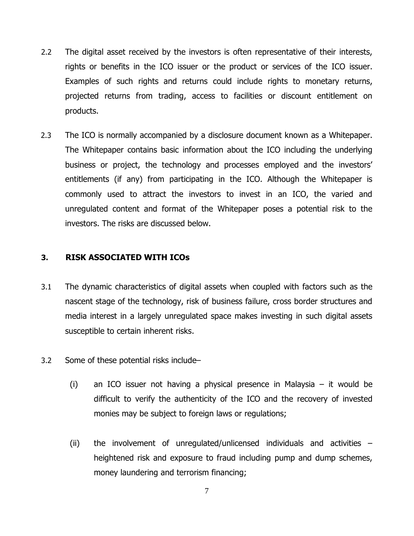- 2.2 The digital asset received by the investors is often representative of their interests, rights or benefits in the ICO issuer or the product or services of the ICO issuer. Examples of such rights and returns could include rights to monetary returns, projected returns from trading, access to facilities or discount entitlement on products.
- 2.3 The ICO is normally accompanied by a disclosure document known as a Whitepaper. The Whitepaper contains basic information about the ICO including the underlying business or project, the technology and processes employed and the investors' entitlements (if any) from participating in the ICO. Although the Whitepaper is commonly used to attract the investors to invest in an ICO, the varied and unregulated content and format of the Whitepaper poses a potential risk to the investors. The risks are discussed below.

#### **3. RISK ASSOCIATED WITH ICOs**

- 3.1 The dynamic characteristics of digital assets when coupled with factors such as the nascent stage of the technology, risk of business failure, cross border structures and media interest in a largely unregulated space makes investing in such digital assets susceptible to certain inherent risks.
- 3.2 Some of these potential risks include–
	- (i) an ICO issuer not having a physical presence in Malaysia it would be difficult to verify the authenticity of the ICO and the recovery of invested monies may be subject to foreign laws or regulations;
	- (ii) the involvement of unregulated/unlicensed individuals and activities heightened risk and exposure to fraud including pump and dump schemes, money laundering and terrorism financing;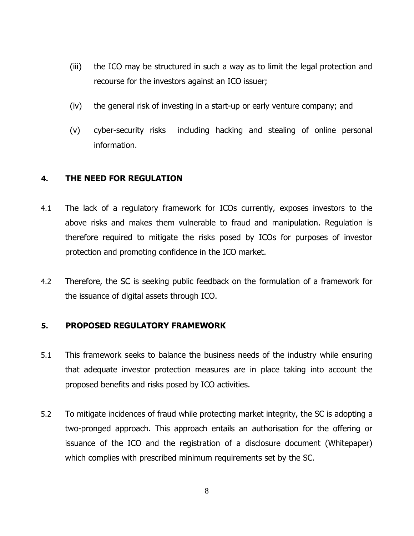- (iii) the ICO may be structured in such a way as to limit the legal protection and recourse for the investors against an ICO issuer;
- (iv) the general risk of investing in a start-up or early venture company; and
- (v) cyber-security risks including hacking and stealing of online personal information.

#### **4. THE NEED FOR REGULATION**

- 4.1 The lack of a regulatory framework for ICOs currently, exposes investors to the above risks and makes them vulnerable to fraud and manipulation. Regulation is therefore required to mitigate the risks posed by ICOs for purposes of investor protection and promoting confidence in the ICO market.
- 4.2 Therefore, the SC is seeking public feedback on the formulation of a framework for the issuance of digital assets through ICO.

#### **5. PROPOSED REGULATORY FRAMEWORK**

- 5.1 This framework seeks to balance the business needs of the industry while ensuring that adequate investor protection measures are in place taking into account the proposed benefits and risks posed by ICO activities.
- 5.2 To mitigate incidences of fraud while protecting market integrity, the SC is adopting a two-pronged approach. This approach entails an authorisation for the offering or issuance of the ICO and the registration of a disclosure document (Whitepaper) which complies with prescribed minimum requirements set by the SC.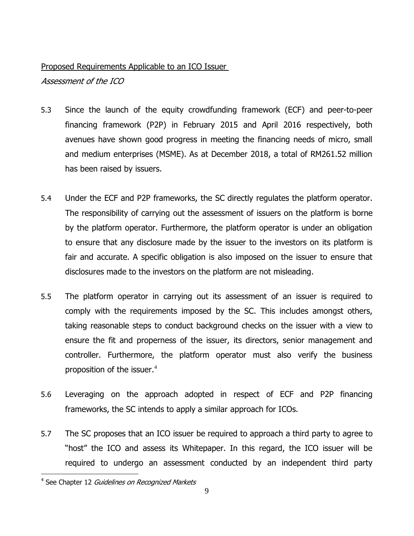#### Proposed Requirements Applicable to an ICO Issuer

Assessment of the ICO

- 5.3 Since the launch of the equity crowdfunding framework (ECF) and peer-to-peer financing framework (P2P) in February 2015 and April 2016 respectively, both avenues have shown good progress in meeting the financing needs of micro, small and medium enterprises (MSME). As at December 2018, a total of RM261.52 million has been raised by issuers.
- 5.4 Under the ECF and P2P frameworks, the SC directly regulates the platform operator. The responsibility of carrying out the assessment of issuers on the platform is borne by the platform operator. Furthermore, the platform operator is under an obligation to ensure that any disclosure made by the issuer to the investors on its platform is fair and accurate. A specific obligation is also imposed on the issuer to ensure that disclosures made to the investors on the platform are not misleading.
- 5.5 The platform operator in carrying out its assessment of an issuer is required to comply with the requirements imposed by the SC. This includes amongst others, taking reasonable steps to conduct background checks on the issuer with a view to ensure the fit and properness of the issuer, its directors, senior management and controller. Furthermore, the platform operator must also verify the business proposition of the issuer.<sup>4</sup>
- 5.6 Leveraging on the approach adopted in respect of ECF and P2P financing frameworks, the SC intends to apply a similar approach for ICOs.
- 5.7 The SC proposes that an ICO issuer be required to approach a third party to agree to "host" the ICO and assess its Whitepaper. In this regard, the ICO issuer will be required to undergo an assessment conducted by an independent third party

<u>.</u>

<sup>&</sup>lt;sup>4</sup> See Chapter 12 Guidelines on Recognized Markets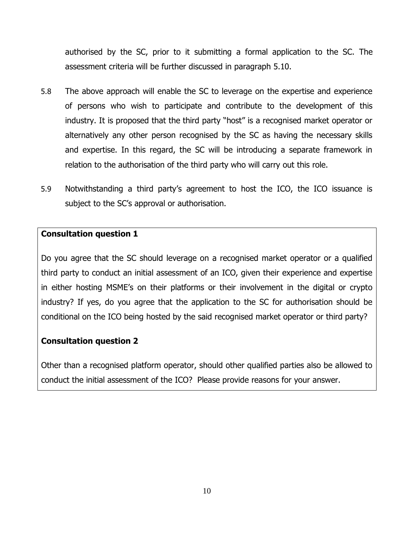authorised by the SC, prior to it submitting a formal application to the SC. The assessment criteria will be further discussed in paragraph 5.10.

- 5.8 The above approach will enable the SC to leverage on the expertise and experience of persons who wish to participate and contribute to the development of this industry. It is proposed that the third party "host" is a recognised market operator or alternatively any other person recognised by the SC as having the necessary skills and expertise. In this regard, the SC will be introducing a separate framework in relation to the authorisation of the third party who will carry out this role.
- 5.9 Notwithstanding a third party's agreement to host the ICO, the ICO issuance is subject to the SC's approval or authorisation.

#### **Consultation question 1**

Do you agree that the SC should leverage on a recognised market operator or a qualified third party to conduct an initial assessment of an ICO, given their experience and expertise in either hosting MSME's on their platforms or their involvement in the digital or crypto industry? If yes, do you agree that the application to the SC for authorisation should be conditional on the ICO being hosted by the said recognised market operator or third party?

#### **Consultation question 2**

Other than a recognised platform operator, should other qualified parties also be allowed to conduct the initial assessment of the ICO? Please provide reasons for your answer.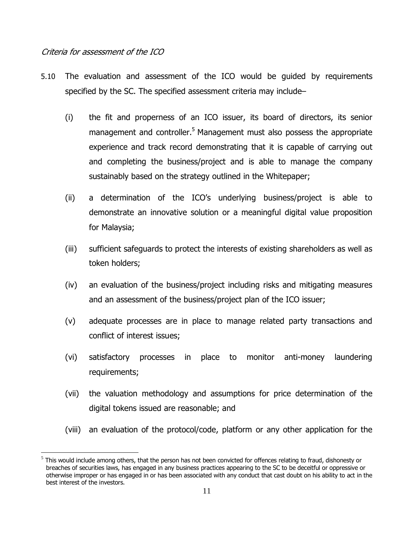#### Criteria for assessment of the ICO

- 5.10 The evaluation and assessment of the ICO would be guided by requirements specified by the SC. The specified assessment criteria may include–
	- (i) the fit and properness of an ICO issuer, its board of directors, its senior management and controller.<sup>5</sup> Management must also possess the appropriate experience and track record demonstrating that it is capable of carrying out and completing the business/project and is able to manage the company sustainably based on the strategy outlined in the Whitepaper;
	- (ii) a determination of the ICO's underlying business/project is able to demonstrate an innovative solution or a meaningful digital value proposition for Malaysia;
	- (iii) sufficient safeguards to protect the interests of existing shareholders as well as token holders;
	- (iv) an evaluation of the business/project including risks and mitigating measures and an assessment of the business/project plan of the ICO issuer;
	- (v) adequate processes are in place to manage related party transactions and conflict of interest issues;
	- (vi) satisfactory processes in place to monitor anti-money laundering requirements;
	- (vii) the valuation methodology and assumptions for price determination of the digital tokens issued are reasonable; and
	- (viii) an evaluation of the protocol/code, platform or any other application for the

 $<sup>5</sup>$  This would include among others, that the person has not been convicted for offences relating to fraud, dishonesty or</sup> breaches of securities laws, has engaged in any business practices appearing to the SC to be deceitful or oppressive or otherwise improper or has engaged in or has been associated with any conduct that cast doubt on his ability to act in the best interest of the investors.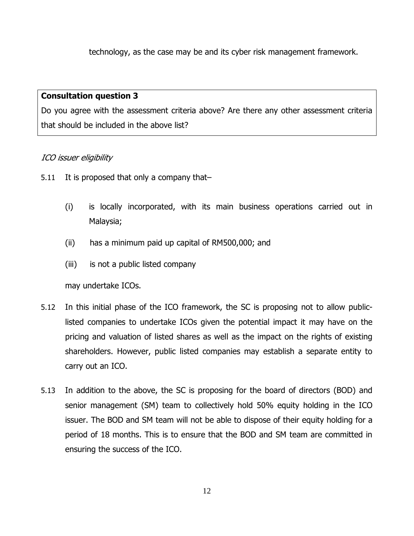technology, as the case may be and its cyber risk management framework.

#### **Consultation question 3**

Do you agree with the assessment criteria above? Are there any other assessment criteria that should be included in the above list?

### ICO issuer eligibility

- 5.11 It is proposed that only a company that-
	- (i) is locally incorporated, with its main business operations carried out in Malaysia;
	- (ii) has a minimum paid up capital of RM500,000; and
	- (iii) is not a public listed company

may undertake ICOs.

- 5.12 In this initial phase of the ICO framework, the SC is proposing not to allow publiclisted companies to undertake ICOs given the potential impact it may have on the pricing and valuation of listed shares as well as the impact on the rights of existing shareholders. However, public listed companies may establish a separate entity to carry out an ICO.
- 5.13 In addition to the above, the SC is proposing for the board of directors (BOD) and senior management (SM) team to collectively hold 50% equity holding in the ICO issuer. The BOD and SM team will not be able to dispose of their equity holding for a period of 18 months. This is to ensure that the BOD and SM team are committed in ensuring the success of the ICO.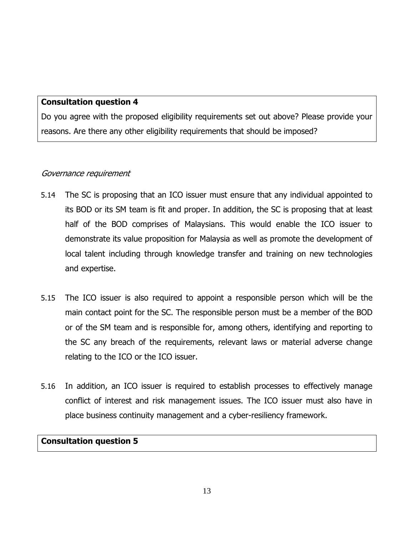#### **Consultation question 4**

Do you agree with the proposed eligibility requirements set out above? Please provide your reasons. Are there any other eligibility requirements that should be imposed?

#### Governance requirement

- 5.14 The SC is proposing that an ICO issuer must ensure that any individual appointed to its BOD or its SM team is fit and proper. In addition, the SC is proposing that at least half of the BOD comprises of Malaysians. This would enable the ICO issuer to demonstrate its value proposition for Malaysia as well as promote the development of local talent including through knowledge transfer and training on new technologies and expertise.
- 5.15 The ICO issuer is also required to appoint a responsible person which will be the main contact point for the SC. The responsible person must be a member of the BOD or of the SM team and is responsible for, among others, identifying and reporting to the SC any breach of the requirements, relevant laws or material adverse change relating to the ICO or the ICO issuer.
- 5.16 In addition, an ICO issuer is required to establish processes to effectively manage conflict of interest and risk management issues. The ICO issuer must also have in place business continuity management and a cyber-resiliency framework.

#### **Consultation question 5**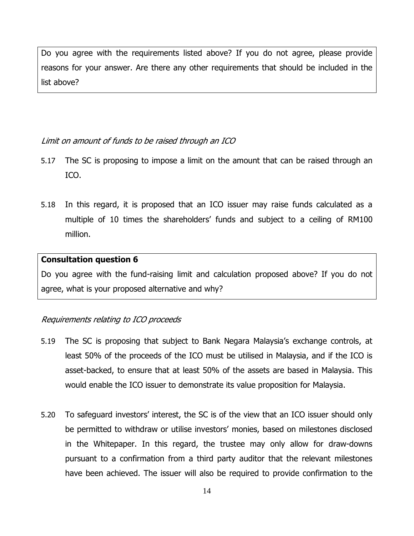Do you agree with the requirements listed above? If you do not agree, please provide reasons for your answer. Are there any other requirements that should be included in the list above?

#### Limit on amount of funds to be raised through an ICO

- 5.17 The SC is proposing to impose a limit on the amount that can be raised through an ICO.
- 5.18 In this regard, it is proposed that an ICO issuer may raise funds calculated as a multiple of 10 times the shareholders' funds and subject to a ceiling of RM100 million.

#### **Consultation question 6**

Do you agree with the fund-raising limit and calculation proposed above? If you do not agree, what is your proposed alternative and why?

### Requirements relating to ICO proceeds

- 5.19 The SC is proposing that subject to Bank Negara Malaysia's exchange controls, at least 50% of the proceeds of the ICO must be utilised in Malaysia, and if the ICO is asset-backed, to ensure that at least 50% of the assets are based in Malaysia. This would enable the ICO issuer to demonstrate its value proposition for Malaysia.
- 5.20 To safeguard investors' interest, the SC is of the view that an ICO issuer should only be permitted to withdraw or utilise investors' monies, based on milestones disclosed in the Whitepaper. In this regard, the trustee may only allow for draw-downs pursuant to a confirmation from a third party auditor that the relevant milestones have been achieved. The issuer will also be required to provide confirmation to the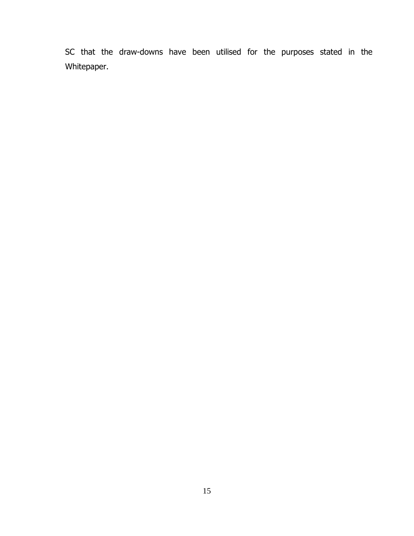SC that the draw-downs have been utilised for the purposes stated in the Whitepaper.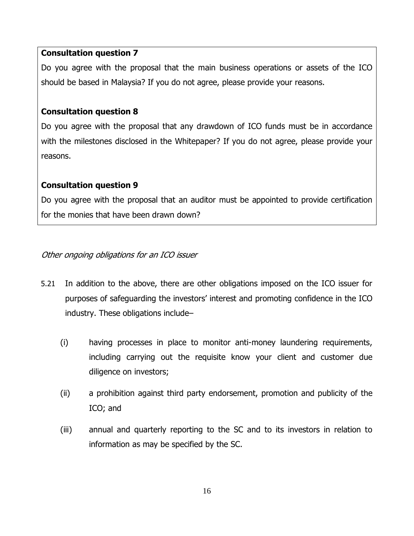#### **Consultation question 7**

Do you agree with the proposal that the main business operations or assets of the ICO should be based in Malaysia? If you do not agree, please provide your reasons.

### **Consultation question 8**

Do you agree with the proposal that any drawdown of ICO funds must be in accordance with the milestones disclosed in the Whitepaper? If you do not agree, please provide your reasons.

## **Consultation question 9**

Do you agree with the proposal that an auditor must be appointed to provide certification for the monies that have been drawn down?

### Other ongoing obligations for an ICO issuer

- 5.21 In addition to the above, there are other obligations imposed on the ICO issuer for purposes of safeguarding the investors' interest and promoting confidence in the ICO industry. These obligations include–
	- (i) having processes in place to monitor anti-money laundering requirements, including carrying out the requisite know your client and customer due diligence on investors;
	- (ii) a prohibition against third party endorsement, promotion and publicity of the ICO; and
	- (iii) annual and quarterly reporting to the SC and to its investors in relation to information as may be specified by the SC.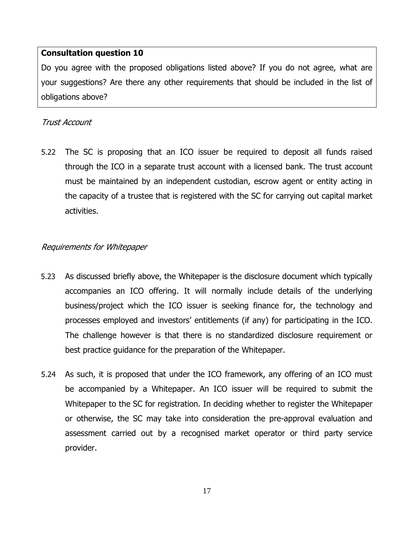#### **Consultation question 10**

Do you agree with the proposed obligations listed above? If you do not agree, what are your suggestions? Are there any other requirements that should be included in the list of obligations above?

#### Trust Account

5.22 The SC is proposing that an ICO issuer be required to deposit all funds raised through the ICO in a separate trust account with a licensed bank. The trust account must be maintained by an independent custodian, escrow agent or entity acting in the capacity of a trustee that is registered with the SC for carrying out capital market activities.

#### Requirements for Whitepaper

- 5.23 As discussed briefly above, the Whitepaper is the disclosure document which typically accompanies an ICO offering. It will normally include details of the underlying business/project which the ICO issuer is seeking finance for, the technology and processes employed and investors' entitlements (if any) for participating in the ICO. The challenge however is that there is no standardized disclosure requirement or best practice guidance for the preparation of the Whitepaper.
- 5.24 As such, it is proposed that under the ICO framework, any offering of an ICO must be accompanied by a Whitepaper. An ICO issuer will be required to submit the Whitepaper to the SC for registration. In deciding whether to register the Whitepaper or otherwise, the SC may take into consideration the pre-approval evaluation and assessment carried out by a recognised market operator or third party service provider.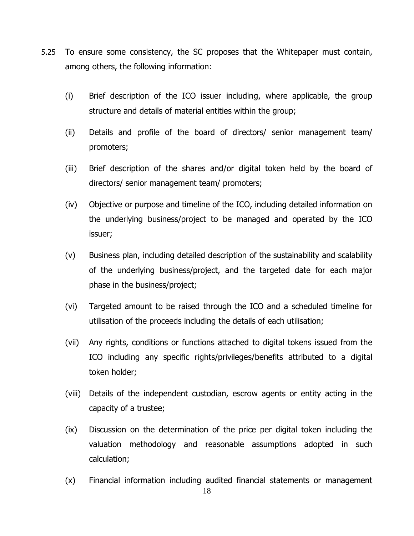- 5.25 To ensure some consistency, the SC proposes that the Whitepaper must contain, among others, the following information:
	- (i) Brief description of the ICO issuer including, where applicable, the group structure and details of material entities within the group;
	- (ii) Details and profile of the board of directors/ senior management team/ promoters;
	- (iii) Brief description of the shares and/or digital token held by the board of directors/ senior management team/ promoters;
	- (iv) Objective or purpose and timeline of the ICO, including detailed information on the underlying business/project to be managed and operated by the ICO issuer;
	- (v) Business plan, including detailed description of the sustainability and scalability of the underlying business/project, and the targeted date for each major phase in the business/project;
	- (vi) Targeted amount to be raised through the ICO and a scheduled timeline for utilisation of the proceeds including the details of each utilisation;
	- (vii) Any rights, conditions or functions attached to digital tokens issued from the ICO including any specific rights/privileges/benefits attributed to a digital token holder;
	- (viii) Details of the independent custodian, escrow agents or entity acting in the capacity of a trustee;
	- (ix) Discussion on the determination of the price per digital token including the valuation methodology and reasonable assumptions adopted in such calculation;
	- (x) Financial information including audited financial statements or management